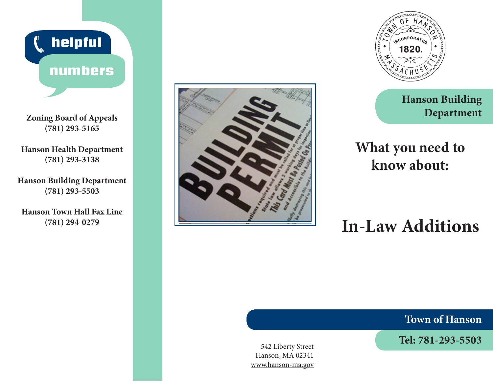

**Zoning Board of Appeals (781) 293-5165**

**Hanson Health Department (781) 293-3138**

**Hanson Building Department (781) 293-5503**

**Hanson Town Hall Fax Line (781) 294-0279**





**Hanson Building Department**

## **What you need to know about:**

# **In-Law Additions**

**Town of Hanson**

**Tel: 781-293-5503** 542 Liberty Street

Hanson, MA 02341 www.hanson-ma.gov